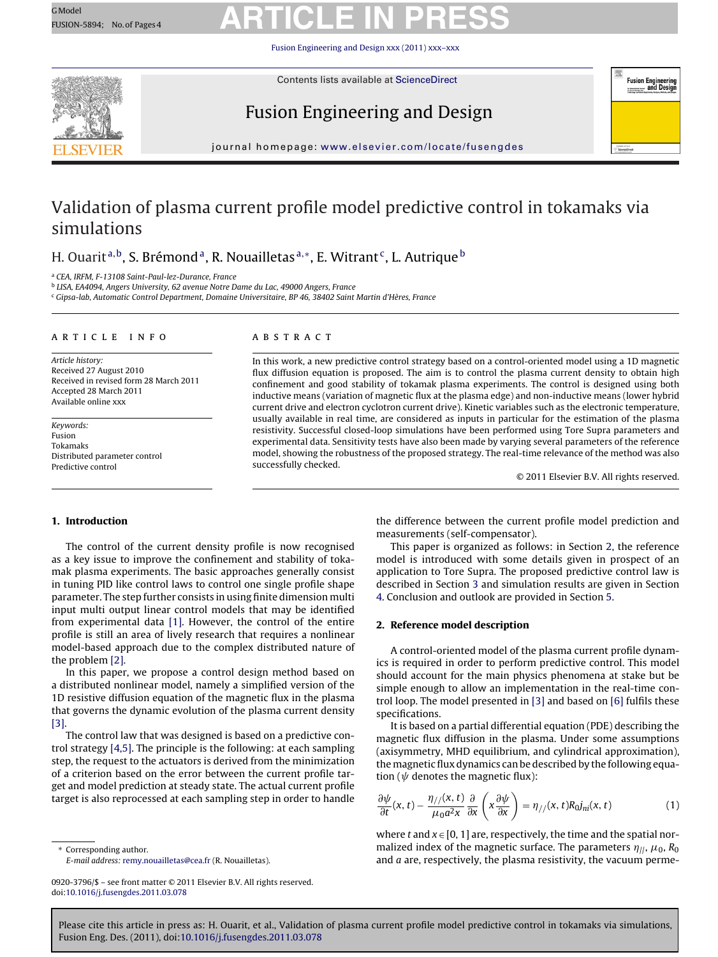## <span id="page-0-0"></span>GModel GModel Reserves ARTICLE IN PRESS

[Fusion Engineering and Design](dx.doi.org/10.1016/j.fusengdes.2011.03.078) xxx (2011) xxx–xxx



Contents lists available at [ScienceDirect](http://www.sciencedirect.com/science/journal/09203796)

### Fusion Engineering and Design



journal homepage: [www.elsevier.com/locate/fusengdes](http://www.elsevier.com/locate/fusengdes)

### Validation of plasma current profile model predictive control in tokamaks via simulations

### H. Quarit<sup>a,b</sup>, S. Brémond<sup>a</sup>, R. Nouailletas  $a^*$ , E. Witrant<sup>c</sup>, L. Autrique b

<sup>a</sup> CEA, IRFM, F-13108 Saint-Paul-lez-Durance, France

<sup>b</sup> LISA, EA4094, Angers University, 62 avenue Notre Dame du Lac, 49000 Angers, France

<sup>c</sup> Gipsa-lab, Automatic Control Department, Domaine Universitaire, BP 46, 38402 Saint Martin d'Hères, France

#### article info

Article history: Received 27 August 2010 Received in revised form 28 March 2011 Accepted 28 March 2011 Available online xxx

Keywords: Fusion Tokamaks Distributed parameter control Predictive control

#### ABSTRACT

In this work, a new predictive control strategy based on a control-oriented model using a 1D magnetic flux diffusion equation is proposed. The aim is to control the plasma current density to obtain high confinement and good stability of tokamak plasma experiments. The control is designed using both inductive means (variation of magnetic flux at the plasma edge) and non-inductive means (lower hybrid current drive and electron cyclotron current drive). Kinetic variables such as the electronic temperature, usually available in real time, are considered as inputs in particular for the estimation of the plasma resistivity. Successful closed-loop simulations have been performed using Tore Supra parameters and experimental data. Sensitivity tests have also been made by varying several parameters of the reference model, showing the robustness of the proposed strategy. The real-time relevance of the method was also successfully checked.

© 2011 Elsevier B.V. All rights reserved.

#### **1. Introduction**

The control of the current density profile is now recognised as a key issue to improve the confinement and stability of tokamak plasma experiments. The basic approaches generally consist in tuning PID like control laws to control one single profile shape parameter. The step further consists in using finite dimension multi input multi output linear control models that may be identified from experimental data [\[1\].](#page-3-0) However, the control of the entire profile is still an area of lively research that requires a nonlinear model-based approach due to the complex distributed nature of the problem [\[2\].](#page-3-0)

In this paper, we propose a control design method based on a distributed nonlinear model, namely a simplified version of the 1D resistive diffusion equation of the magnetic flux in the plasma that governs the dynamic evolution of the plasma current density [\[3\].](#page-3-0)

The control law that was designed is based on a predictive control strategy [\[4,5\]. T](#page-3-0)he principle is the following: at each sampling step, the request to the actuators is derived from the minimization of a criterion based on the error between the current profile target and model prediction at steady state. The actual current profile target is also reprocessed at each sampling step in order to handle

Corresponding author. E-mail address: [remy.nouailletas@cea.fr](mailto:remy.nouailletas@cea.fr) (R. Nouailletas). the difference between the current profile model prediction and measurements (self-compensator).

This paper is organized as follows: in Section 2, the reference model is introduced with some details given in prospect of an application to Tore Supra. The proposed predictive control law is described in Section [3](#page-1-0) and simulation results are given in Section [4. C](#page-1-0)onclusion and outlook are provided in Section [5.](#page-3-0)

#### **2. Reference model description**

A control-oriented model of the plasma current profile dynamics is required in order to perform predictive control. This model should account for the main physics phenomena at stake but be simple enough to allow an implementation in the real-time control loop. The model presented in [\[3\]](#page-3-0) and based on [\[6\]](#page-3-0) fulfils these specifications.

It is based on a partial differential equation (PDE) describing the magnetic flux diffusion in the plasma. Under some assumptions (axisymmetry, MHD equilibrium, and cylindrical approximation), the magnetic flux dynamics can be described by the following equation ( $\psi$  denotes the magnetic flux):

$$
\frac{\partial \psi}{\partial t}(x,t) - \frac{\eta_{//}(x,t)}{\mu_0 a^2 x} \frac{\partial}{\partial x} \left( x \frac{\partial \psi}{\partial x} \right) = \eta_{//}(x,t) R_0 j_{ni}(x,t) \tag{1}
$$

where t and  $x \in [0, 1]$  are, respectively, the time and the spatial normalized index of the magnetic surface. The parameters  $\eta_{||}, \mu_0, R_0$ and  $a$  are, respectively, the plasma resistivity, the vacuum perme-

<sup>0920-3796/\$ –</sup> see front matter © 2011 Elsevier B.V. All rights reserved. doi:[10.1016/j.fusengdes.2011.03.078](dx.doi.org/10.1016/j.fusengdes.2011.03.078)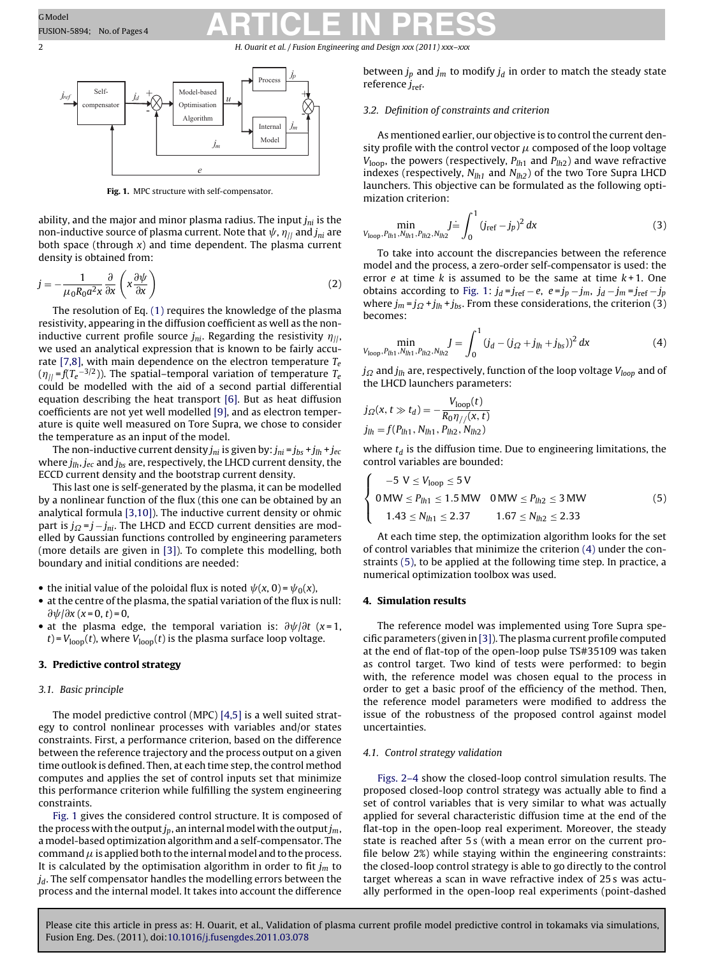### <span id="page-1-0"></span>GModel GModel Resear: No.of Pages4 **ARTICLE IN PRESS**

2 **https://warefilthering and Design** *xxx* (2011) *xxx*-



**Fig. 1.** MPC structure with self-compensator.

ability, and the major and minor plasma radius. The input  $j_{ni}$  is the non-inductive source of plasma current. Note that  $\psi$ ,  $\eta_{jj}$  and  $j_{ni}$  are both space (through  $x$ ) and time dependent. The plasma current density is obtained from:

$$
j = -\frac{1}{\mu_0 R_0 a^2 x} \frac{\partial}{\partial x} \left( x \frac{\partial \psi}{\partial x} \right)
$$
 (2)

The resolution of Eq. [\(1\)](#page-0-0) requires the knowledge of the plasma resistivity, appearing in the diffusion coefficient as well as the noninductive current profile source  $j_{ni}$ . Regarding the resistivity  $\eta_{||}$ , we used an analytical expression that is known to be fairly accu-rate [\[7,8\], w](#page-3-0)ith main dependence on the electron temperature  $T_e$  $(\eta_{||}$ =f(T $_{e}^{-3/2}$ )). The spatial–temporal variation of temperature T $_{e}$ could be modelled with the aid of a second partial differential equation describing the heat transport [\[6\].](#page-3-0) But as heat diffusion coefficients are not yet well modelled [\[9\], a](#page-3-0)nd as electron temperature is quite well measured on Tore Supra, we chose to consider the temperature as an input of the model.

The non-inductive current density  $j_{ni}$  is given by:  $j_{ni} = j_{bs} + j_{lh} + j_{ec}$ where  $j_{lh}$ ,  $j_{ec}$  and  $j_{bs}$  are, respectively, the LHCD current density, the ECCD current density and the bootstrap current density.

This last one is self-generated by the plasma, it can be modelled by a nonlinear function of the flux (this one can be obtained by an analytical formula [\[3,10\]\).](#page-3-0) The inductive current density or ohmic part is  $j_{Q} = j - j_{ni}$ . The LHCD and ECCD current densities are modelled by Gaussian functions controlled by engineering parameters (more details are given in [\[3\]\).](#page-3-0) To complete this modelling, both boundary and initial conditions are needed:

- the initial value of the poloidal flux is noted  $\psi(x, 0) = \psi_0(x)$ ,
- at the centre of the plasma, the spatial variation of the flux is null:  $\frac{\partial \psi}{\partial x}$  (x = 0, t) = 0,
- at the plasma edge, the temporal variation is:  $\partial \psi / \partial t$  (x=1,  $t$ ) =  $V_{\text{loop}}(t)$ , where  $V_{\text{loop}}(t)$  is the plasma surface loop voltage.

#### **3. Predictive control strategy**

#### 3.1. Basic principle

The model predictive control (MPC) [\[4,5\]](#page-3-0) is a well suited strategy to control nonlinear processes with variables and/or states constraints. First, a performance criterion, based on the difference between the reference trajectory and the process output on a given time outlook is defined. Then, at each time step, the control method computes and applies the set of control inputs set that minimize this performance criterion while fulfilling the system engineering constraints.

Fig. 1 gives the considered control structure. It is composed of the process with the output  $j_p$ , an internal model with the output  $j_m$ , a model-based optimization algorithm and a self-compensator. The command  $\mu$  is applied both to the internal model and to the process. It is calculated by the optimisation algorithm in order to fit  $j_m$  to  $j_d$ . The self compensator handles the modelling errors between the process and the internal model. It takes into account the difference

between  $j_p$  and  $j_m$  to modify  $j_d$  in order to match the steady state reference  $j_{\text{ref}}$ .

#### 3.2. Definition of constraints and criterion

As mentioned earlier, our objective is to control the current density profile with the control vector  $\mu$  composed of the loop voltage  $V_{\text{loop}}$ , the powers (respectively,  $P_{lh1}$  and  $P_{lh2}$ ) and wave refractive indexes (respectively,  $N_{lh1}$  and  $N_{lh2}$ ) of the two Tore Supra LHCD launchers. This objective can be formulated as the following optimization criterion:

$$
\min_{V_{\text{loop}}, P_{lh1}, N_{lh1}, P_{lh2}, N_{lh2}} J \doteq \int_0^1 (j_{\text{ref}} - j_p)^2 dx \tag{3}
$$

To take into account the discrepancies between the reference model and the process, a zero-order self-compensator is used: the error  $e$  at time  $k$  is assumed to be the same at time  $k+1$ . One obtains according to Fig. 1:  $j_d = j_{ref} - e$ ,  $e = j_p - j_m$ ,  $j_d - j_m = j_{ref} - j_p$ where  $j_m = j_{\Omega} + j_{lh} + j_{bs}$ . From these considerations, the criterion (3) becomes:

$$
\min_{V_{\text{loop}}, P_{l h 1}, N_{l h 1}, P_{l h 2}, N_{l h 2}} J = \int_0^1 (j_d - (j_{\Omega} + j_{l h} + j_{b s}))^2 dx
$$
 (4)

 $j_{\Omega}$  and  $j_{lh}$  are, respectively, function of the loop voltage  $V_{loop}$  and of the LHCD launchers parameters:

$$
j_{\Omega}(x, t \gg t_d) = -\frac{V_{\text{loop}}(t)}{R_0 \eta_{//}(x, t)}
$$
  

$$
j_{lh} = f(P_{lh1}, N_{lh1}, P_{lh2}, N_{lh2})
$$

where  $t_d$  is the diffusion time. Due to engineering limitations, the control variables are bounded:

$$
\begin{cases}\n-5 \text{ V} \leq V_{\text{loop}} \leq 5 \text{ V} \\
0 \text{ MW} \leq P_{lh1} \leq 1.5 \text{ MW} & 0 \text{ MW} \leq P_{lh2} \leq 3 \text{ MW} \\
1.43 \leq N_{lh1} \leq 2.37 & 1.67 \leq N_{lh2} \leq 2.33\n\end{cases}
$$
\n(5)

At each time step, the optimization algorithm looks for the set of control variables that minimize the criterion (4) under the constraints (5), to be applied at the following time step. In practice, a numerical optimization toolbox was used.

#### **4. Simulation results**

The reference model was implemented using Tore Supra specific parameters (given in [\[3\]\).](#page-3-0) The plasma current profile computed at the end of flat-top of the open-loop pulse TS#35109 was taken as control target. Two kind of tests were performed: to begin with, the reference model was chosen equal to the process in order to get a basic proof of the efficiency of the method. Then, the reference model parameters were modified to address the issue of the robustness of the proposed control against model uncertainties.

#### 4.1. Control strategy validation

[Figs. 2–4](#page-2-0) show the closed-loop control simulation results. The proposed closed-loop control strategy was actually able to find a set of control variables that is very similar to what was actually applied for several characteristic diffusion time at the end of the flat-top in the open-loop real experiment. Moreover, the steady state is reached after 5 s (with a mean error on the current profile below 2%) while staying within the engineering constraints: the closed-loop control strategy is able to go directly to the control target whereas a scan in wave refractive index of 25 s was actually performed in the open-loop real experiments (point-dashed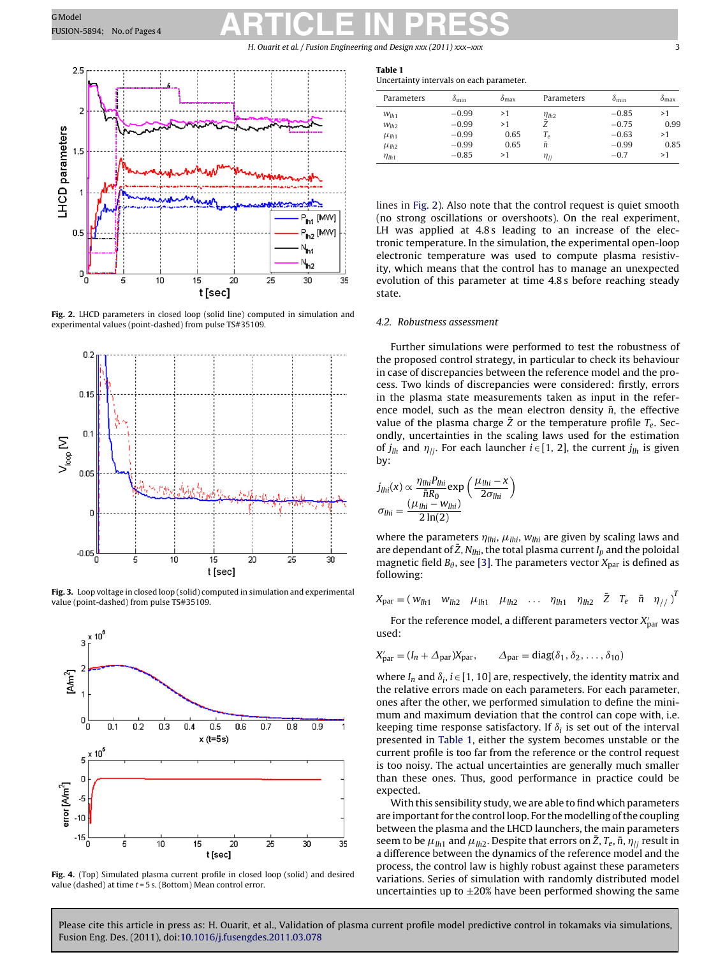# <span id="page-2-0"></span>GModel GModel Reserves ARTICLE IN PRESS

H. Ouarit et al. / Fusion Engineering and Design *xxx (2011) xxx–xxx* 3



**Fig. 2.** LHCD parameters in closed loop (solid line) computed in simulation and experimental values (point-dashed) from pulse TS#35109.



**Fig. 3.** Loop voltage in closed loop (solid) computed in simulation and experimental value (point-dashed) from pulse TS#35109.



**Fig. 4.** (Top) Simulated plasma current profile in closed loop (solid) and desired value (dashed) at time  $t = 5$  s. (Bottom) Mean control error.

#### **Table 1**

Uncertainty intervals on each parameter.

| Parameters       | $o_{\min}$ | $o_{\text{max}}$ | Parameters         | $\delta_{\min}$ | $o_{\text{max}}$ |
|------------------|------------|------------------|--------------------|-----------------|------------------|
| $W_{lh1}$        | $-0.99$    | >1               | $\eta_{lh2}$       | $-0.85$         | >1               |
| W <sub>lh2</sub> | $-0.99$    | >1               | Ž                  | $-0.75$         | 0.99             |
| $\mu_{lh1}$      | $-0.99$    | 0.65             | $T_e$              | $-0.63$         | >1               |
| $\mu_{lh2}$      | $-0.99$    | 0.65             | ñ                  | $-0.99$         | 0.85             |
| $\eta_{lh1}$     | $-0.85$    | >1               | $\eta_{\parallel}$ | $-0.7$          | >1               |

lines in Fig. 2). Also note that the control request is quiet smooth (no strong oscillations or overshoots). On the real experiment, LH was applied at 4.8 s leading to an increase of the electronic temperature. In the simulation, the experimental open-loop electronic temperature was used to compute plasma resistivity, which means that the control has to manage an unexpected evolution of this parameter at time 4.8 s before reaching steady state.

#### 4.2. Robustness assessment

Further simulations were performed to test the robustness of the proposed control strategy, in particular to check its behaviour in case of discrepancies between the reference model and the process. Two kinds of discrepancies were considered: firstly, errors in the plasma state measurements taken as input in the reference model, such as the mean electron density  $\bar{n}$ , the effective value of the plasma charge Z or the temperature profile  $T_e$ . Secondly, uncertainties in the scaling laws used for the estimation of  $j_{lh}$  and  $\eta_{ll}$ . For each launcher  $i \in [1, 2]$ , the current  $j_{lh}$  is given by:

$$
j_{lhi}(x) \propto \frac{\eta_{lhi} P_{lhi}}{\bar{n} R_0} \exp\left(\frac{\mu_{lhi} - x}{2\sigma_{lhi}}\right)
$$

$$
\sigma_{lhi} = \frac{(\mu_{lhi} - w_{lhi})}{2 \ln(2)}
$$

where the parameters  $\eta_{lhi}$ ,  $\mu_{lhi}$ ,  $w_{lhi}$  are given by scaling laws and are dependant of  $\bar{Z}$ ,  $N_{lhi}$ , the total plasma current  $I_p$  and the poloidal magnetic field  $B_{\theta}$ , see [\[3\]. T](#page-3-0)he parameters vector  $X_{\text{par}}$  is defined as following:

$$
X_{\text{par}} = \begin{pmatrix} w_{lh1} & w_{lh2} & \mu_{lh1} & \mu_{lh2} & \dots & \eta_{lh1} & \eta_{lh2} & \bar{Z} & \bar{T}_e & \bar{n} & \eta_{//} \end{pmatrix}^T
$$

For the reference model, a different parameters vector  $X'_{\text{par}}$  was used:

$$
X'_{\text{par}} = (I_n + \Delta_{\text{par}})X_{\text{par}}, \qquad \Delta_{\text{par}} = \text{diag}(\delta_1, \delta_2, \dots, \delta_{10})
$$

where  $I_n$  and  $\delta_i$ ,  $i \in [1, 10]$  are, respectively, the identity matrix and the relative errors made on each parameters. For each parameter, ones after the other, we performed simulation to define the minimum and maximum deviation that the control can cope with, i.e. keeping time response satisfactory. If  $\delta_i$  is set out of the interval presented in Table 1, either the system becomes unstable or the current profile is too far from the reference or the control request is too noisy. The actual uncertainties are generally much smaller than these ones. Thus, good performance in practice could be expected.

With this sensibility study, we are able to find which parameters are important for the control loop. For the modelling of the coupling between the plasma and the LHCD launchers, the main parameters seem to be  $\mu_{lh1}$  and  $\mu_{lh2}$ . Despite that errors on  $\bar{Z}$ ,  $T_e$ ,  $\bar{n}$ ,  $\eta_{ll}$  result in a difference between the dynamics of the reference model and the process, the control law is highly robust against these parameters variations. Series of simulation with randomly distributed model uncertainties up to  $\pm 20\%$  have been performed showing the same